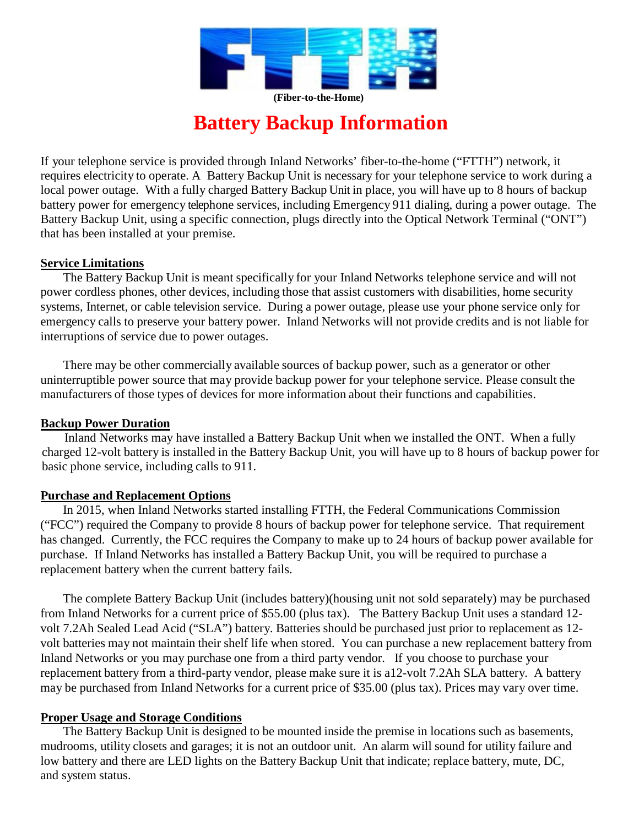

# **Battery Backup Information**

If your telephone service is provided through Inland Networks' fiber-to-the-home ("FTTH") network, it requires electricity to operate. A Battery Backup Unit is necessary for your telephone service to work during a local power outage. With a fully charged Battery Backup Unit in place, you will have up to 8 hours of backup battery power for emergency telephone services, including Emergency 911 dialing, during a power outage. The Battery Backup Unit, using a specific connection, plugs directly into the Optical Network Terminal ("ONT") that has been installed at your premise.

# **Service Limitations**

The Battery Backup Unit is meant specifically for your Inland Networks telephone service and will not power cordless phones, other devices, including those that assist customers with disabilities, home security systems, Internet, or cable television service. During a power outage, please use your phone service only for emergency calls to preserve your battery power. Inland Networks will not provide credits and is not liable for interruptions of service due to power outages.

There may be other commercially available sources of backup power, such as a generator or other uninterruptible power source that may provide backup power for your telephone service. Please consult the manufacturers of those types of devices for more information about their functions and capabilities.

# **Backup Power Duration**

Inland Networks may have installed a Battery Backup Unit when we installed the ONT. When a fully charged 12-volt battery is installed in the Battery Backup Unit, you will have up to 8 hours of backup power for basic phone service, including calls to 911.

# **Purchase and Replacement Options**

In 2015, when Inland Networks started installing FTTH, the Federal Communications Commission ("FCC") required the Company to provide 8 hours of backup power for telephone service. That requirement has changed. Currently, the FCC requires the Company to make up to 24 hours of backup power available for purchase. If Inland Networks has installed a Battery Backup Unit, you will be required to purchase a replacement battery when the current battery fails.

The complete Battery Backup Unit (includes battery)(housing unit not sold separately) may be purchased from Inland Networks for a current price of \$55.00 (plus tax). The Battery Backup Unit uses a standard 12 volt 7.2Ah Sealed Lead Acid ("SLA") battery. Batteries should be purchased just prior to replacement as 12 volt batteries may not maintain their shelf life when stored. You can purchase a new replacement battery from Inland Networks or you may purchase one from a third party vendor. If you choose to purchase your replacement battery from a third-party vendor, please make sure it is a12-volt 7.2Ah SLA battery. A battery may be purchased from Inland Networks for a current price of \$35.00 (plus tax). Prices may vary over time.

# **Proper Usage and Storage Conditions**

The Battery Backup Unit is designed to be mounted inside the premise in locations such as basements, mudrooms, utility closets and garages; it is not an outdoor unit. An alarm will sound for utility failure and low battery and there are LED lights on the Battery Backup Unit that indicate; replace battery, mute, DC, and system status.